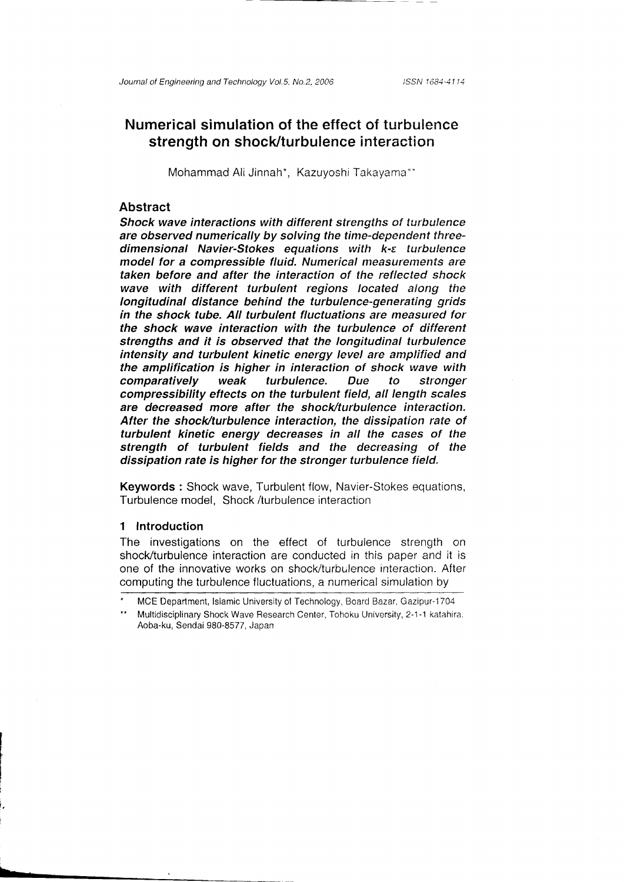# Numerical simulation of the effect of turbulence strength on shock/turbulence interaction

Mohammad Ali Jinnah\*, Kazuyoshi Takayama\*\*

# Abstract

Shock wave interactions with different strengths of turbulence are observed numerically by solving the time-dependent threedimensional Navier-Stokes equations with k-s turbulence model for a compressible fluid. Numerical measuremenis are taken before and after the interaction of the reflected shock wave with different turbulent regions located along the Iongitudinal distance behind the turbulence-generating grids in the shock tube. AII turbulent fluctuations are measured for the shock wave interaction with the turbulence of different strengths and it is observed that the longitudinal turbulence intensity and turbulent kinetic energy level are amplified and the amplification is higher in interaction of shock wave with comparatively weak turbulence. Due to stronger compressibility eftects on the turbulent field, all length scales are decreased more after the shock/turbulence interaction. After the shock/turbulence interaction, the dissipation rate of turbulent kinetic energy decreases in all the cases of the strength of turbulent fields and the decreasing of the dissipation rate is higher for the stronger turbulence field.

Keywords : Shock wave, Turbulent flow, Navier-Stokes equations, Turbulence model, Shock /turbulence interaction

#### 1 Introduction

The investigations on the effect of turbulence strength on shock/turbulence interaction are conducted in this paper and it is one of the innovative works on shock/turbulence interaction. After computing the turbulence tluctuations, a numerical simulation by

MCE Department, Islamic University of Technology, Board Bazar, Gazipur-1704

Multidisciplinary Shock Wave Research Center, Tohoku University, 2-1-1 katahira Aoba-ku, Sendai 980-8577, Japan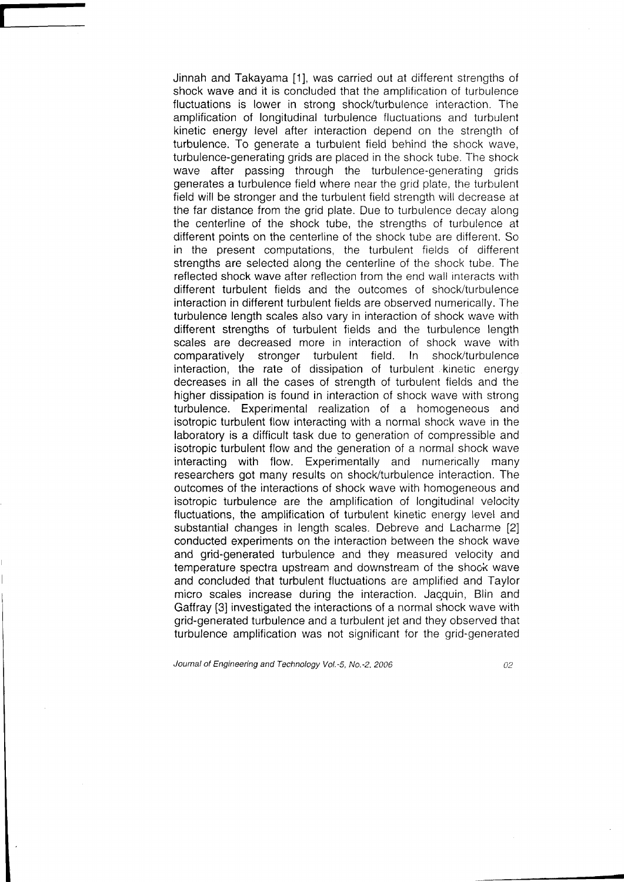Jinnah and Takayama [1], was carried out at different sirengihs of shock wave and it is concluded that the amplification of turbulence fluctuations is lower in strong shock/turbulence interaction. The amplification of longitudinal turbulence fluctuations and turbulent kinetic energy level after interaction depend on the sirength of turbulence. To generate a turbulent field behind the shock wave, turbulence-generating grids are placed in the shock tube. The shock wave after passing through the turbulence-generating grids generates a turbulence field where near the grid plate, the iurbulent field will be stronger and the turbulent field strength will decrease at the far distance from the grid plate. Due to turbulence decay along the centerline of the shock tube, the strengths of turbulence at different points on the centerline of the shock tube are different. So in the present computations, the turbulent fieids of ciifferent strengths are selected along the centerline of the shock tube. The reflected shock wave after reflection from the end wall interacts with different turbulent fields and the outcomes of shock/turbulence interaction in different turbulent fields are observed numerically. The turbulence length scales also vary in interaction of shock wave with different strengths of turbulent fields and the turbulence length scales are decreased more in interaction of shock wave with comparatively stronger turbulent field. In shock/turbulence interaction, the rate of dissipation of turbulent kinetic energy decreases in all the cases of strength of turbulent fields and the higher dissipation is found in interaction of shock wave with strong turbulence. Experimental realization of a homogeneous and isotropic turbulent flow interacting with a normal shock wave in the laboratory is a difficult task due to generation of compressible and isotropic turbulent flow and the generation of a normal shock wave interacting with flow. Experimentally and numerically many researchers got many results on shock/turbulence interaction. The outcomes of the interactions of shock wave with homogeneous and isotropic turbulence are the amplification of longitudinal velocity fluctuations, the amplification of turbulent kinetic energy level and substantial changes in length scales. Debreve and Lacharme [2] conducted experiments on the interaction between the shock wave and grid-generated turbulence and they measured velocity and temperature spectra upstream and downstream of the shock wave and concluded that turbulent fluctuations are amplified and Taylor micro scales increase during the interaction. Jacquin, Blin and Gaffray [3] investigated the interactions of a normal shock wave with grid-generated turbulence and a turbulent jet and they observed that turbulence amplification was not significant for the grid-generated

Journal of Engineering and Technology Vol.-5, No.-2, 2006 UZ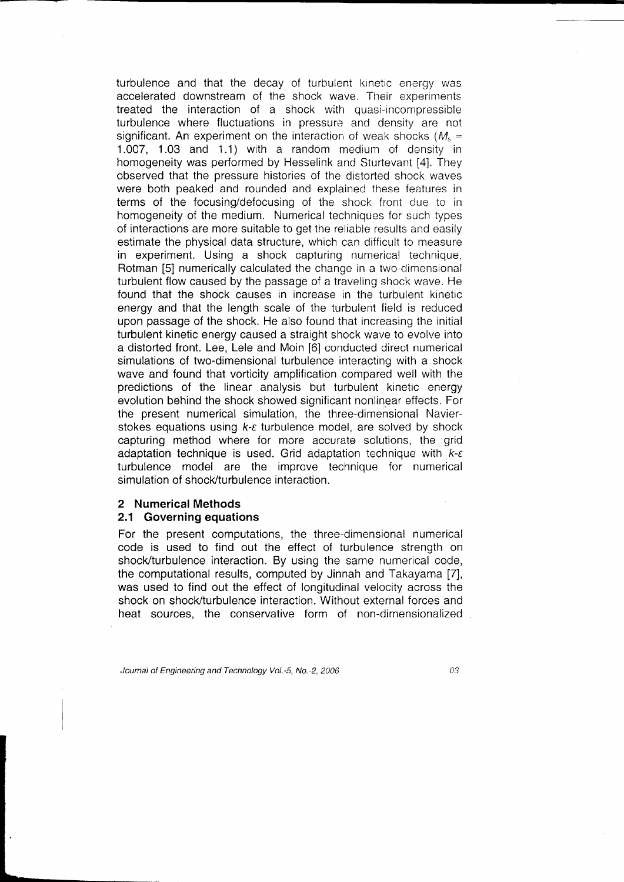turbulence and that the decay of turbulent kinetic energy was accelerated downstream of the shock wave. Their experiments treated the interaction of a shock with quasi-incompressible turbulence where fluctuations in pressure and density are not significant. An experiment on the interaction of weak shocks ( $M_s =$ 1.007, 1.03 and 1.1) with a random medium of density in homogeneity was performed by Hesselink and Sturtevant [4]. They observed that the pressure histories of the distorted shock waves were both peaked and rounded and explained these features in terms of the focusing/defocusing of the shock front due to in homogeneity of the medium. Numerical techniques for such types of interactions are more suitable to get the reliable results and easily estimate the physical data structure, which can difficult to measure in experiment. Using a shock capturing numerical technique, Rotman [5] numerically calculated the change in a two-dimensional turbulent flow caused by the passage of a traveling shock wave. He found that the shock causes in increase in the turbulent kinetic energy and that the length scale of the turbulent field is reduced upon passage of the shock. He also found that increasing the initial turbulent kinetic energy caused a straight shock wave to evolve into a distorted front. Lee, Lele and Moin [6] conducted direct numerical simulations of two-dimensional turbulence interacting with a shock wave and found that vorticity amplification compared well with the predictions of the linear analysis but turbulent kinetic energy evolution behind the shock showed significant nonlinear effects. For the present numerical simulation, the three-dimensional Navierstokes equations using  $k$ -c turbulence model, are solved by shock capturing method where for more accurate solutions, the grid adaptation technique is used. Grid adaptation technique with  $k-\varepsilon$ turbulence model are the improve technique for numerical simulation of shock/turbulence interaction.

#### 2 Numerical Methods

#### 2.1 Governing equations

For the present computations, the three-dimensional numerical code is used to find out the effect of turbulence strength on shock/turbulence interaction. By using the same numerical code, the computational results, computed by Jinnah and Takayama [7], was used to find out the effect of longitudinal velocity across the shock on shock/turbulence interaction. Without external forces and heat sources. the conservative form of non-dimensionalized

Journal of Engineering and Technology Vol.-5, No.-2, 2006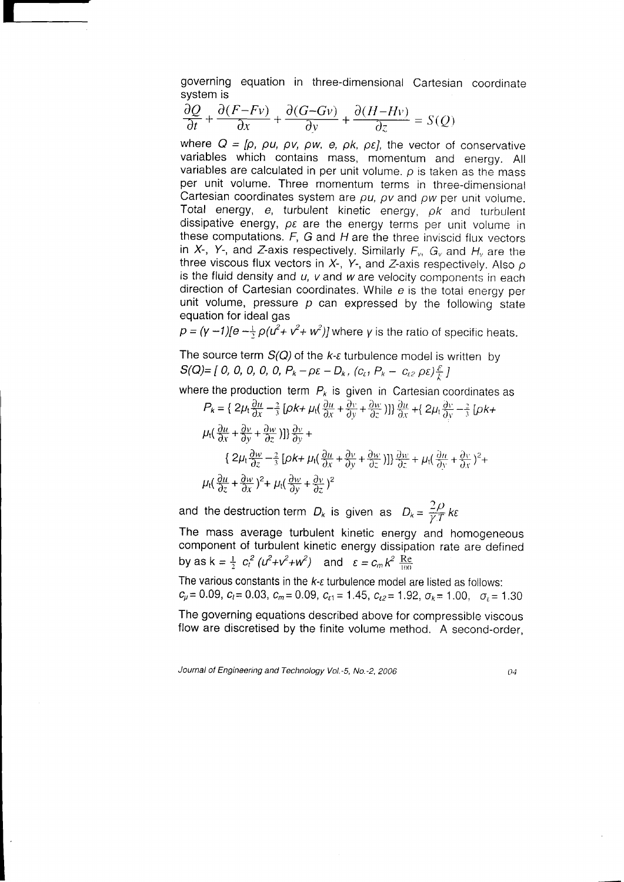governing equation in three-dimensional cartesian coordinate system is

$$
\frac{\partial Q}{\partial t} + \frac{\partial (F - Fv)}{\partial x} + \frac{\partial (G - Gv)}{\partial y} + \frac{\partial (H - Hv)}{\partial z} = S(Q)
$$

where  $Q = [\rho, \rho u, \rho v, \rho w, e, \rho k, \rho \varepsilon]$ , the vector of conservative variables which contains mass, momentum and energy. All variables are calculated in per unit volume.  $\rho$  is taken as the mass per unit volume. Three momentum terms in three-dimensional Cartesian coordinates system are  $\rho u$ ,  $\rho v$  and  $\rho w$  per unit volume. Total energy,  $e$ , turbulent kinetic energy,  $\rho k$  and turbulent dissipative energy,  $\rho \varepsilon$  are the energy terms per unit volume in these computations.  $F$ ,  $G$  and  $H$  are the three inviscid flux vectors in X-, Y-, and Z-axis respectively. Similarly  $F_v$ ,  $G_v$  and  $H_v$  are the three viscous flux vectors in  $X<sub>1</sub>$ , Y-, and Z-axis respectively. Also  $\rho$ is the fluid density and  $u$ ,  $v$  and  $w$  are velocity components in each direction of Cartesian coordinates. While e is the total energy per unit volume, pressure  $p$  can expressed by the following state equation for ideal gas

 $p = (y - 1)[e - \frac{1}{2} \rho(u^2 + v^2 + w^2)]$  where y is the ratio of specific heats.

The source term  $S(Q)$  of the  $k$ - $\varepsilon$  turbulence model is written by  $S(Q) = \left[ \begin{array}{cccc} 0, & 0, & 0, & 0, & P_k - \rho \varepsilon - D_k, & (c_{\varepsilon}, & P_k - c_{\varepsilon 2} & \rho \varepsilon \end{array} \right] \frac{\varepsilon}{k} \right]$ 

where the production term  $P_k$  is given in Cartesian coordinates as

$$
P_{k} = \left\{ 2\mu_{t} \frac{\partial u}{\partial x} - \frac{2}{3} \left[ \rho k + \mu_{t} \left( \frac{\partial u}{\partial x} + \frac{\partial v}{\partial y} + \frac{\partial w}{\partial z} \right) \right] \right\} \frac{\partial u}{\partial x} + \left\{ 2\mu_{t} \frac{\partial v}{\partial y} - \frac{2}{3} \left[ \rho k + \frac{\mu_{t} \left( \frac{\partial u}{\partial x} + \frac{\partial v}{\partial y} + \frac{\partial w}{\partial z} \right) \right] \right\} \frac{\partial v}{\partial y} + \left\{ 2\mu_{t} \frac{\partial u}{\partial x} + \frac{\partial v}{\partial y} + \frac{\partial w}{\partial z} \right\} \left\{ \frac{\partial v}{\partial x} + \mu_{t} \left( \frac{\partial u}{\partial x} + \frac{\partial v}{\partial y} + \frac{\partial w}{\partial z} \right) \right\} \frac{\partial w}{\partial z} + \mu_{t} \left( \frac{\partial u}{\partial y} + \frac{\partial v}{\partial x} \right)^{2} + \mu_{t} \left( \frac{\partial u}{\partial z} + \frac{\partial w}{\partial x} \right)^{2} + \mu_{t} \left( \frac{\partial w}{\partial y} + \frac{\partial v}{\partial z} \right)^{2}
$$

and the destruction term  $D_k$  is given as  $D_k = \frac{2\rho}{\sqrt{T}}k\varepsilon$ 

The mass average turbulent kinetic energy and homogeneous component of turbulent kinetic energy dissipation rate are defined by as  $k=\frac{1}{2} c_t^2 (u^2+v^2+w^2)$  and  $\varepsilon=c_m k^2 \frac{\text{Re}}{100}$ 

The various constants in the  $k$ - $\varepsilon$  turbulence model are listed as follows:  $c_{\mu}= 0.09$ ,  $c_{t}= 0.03$ ,  $c_{m}= 0.09$ ,  $c_{\varepsilon 1}= 1.45$ ,  $c_{\varepsilon 2}= 1.92$ ,  $\sigma_{k}= 1.00$ ,  $\sigma_{\varepsilon}= 1.30$ 

The governing equations described above for compressible viscous flow are discretised by the finite volume method. A second-order,

Journal of Engineering and Technology Vol.-S, No.-2, 2006

 $\overline{04}$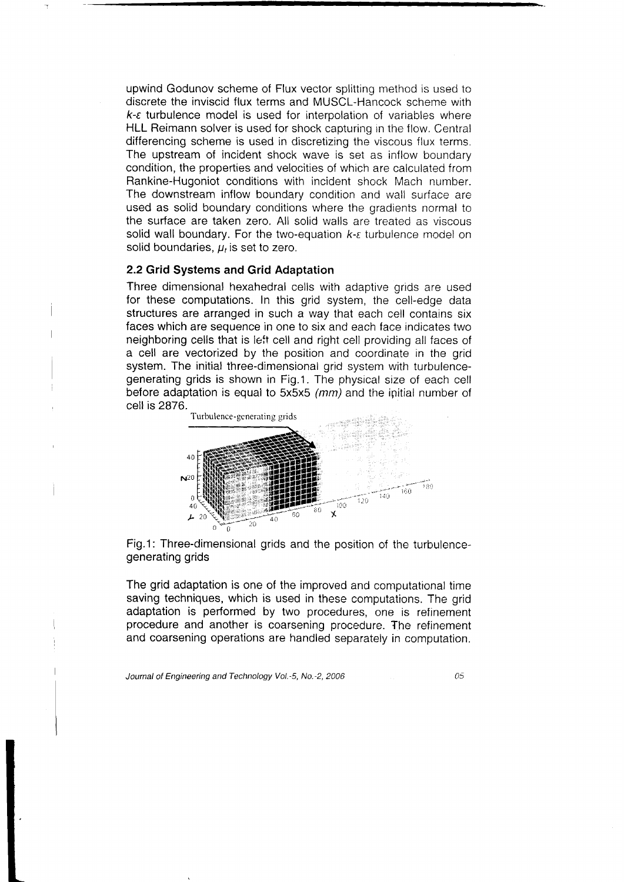upwind Godunov scheme of Flux vector splitting method is used to discrete the inviscid flux terms and MUSCL-Hancock scheme with  $k$ - $\varepsilon$  turbulence model is used for interpolation of variables where HLL Reimann solver is used for shock capturing in the flow. Central differencing scheme is used in discretizing the viscous flux terms. The upstream of incident shock wave is set as inflow boundary condition, the properties and velocities of which are calculated from Rankine-Hugoniot conditions with incident shock Mach number. The downstream inflow boundary condition and wall surface are used as solid boundary conditions where the gradients normal to the surface are taken zero. All solid walls are treated as viscous solid wall boundary. For the two-equation  $k$ - $\varepsilon$  turbulence model on solid boundaries,  $\mu_t$  is set to zero.

#### 2.2 Grid Systems and Grid Adaptation

Three dimensional hexahedral cells with adaptive grids are used for these computations. In this grid system, the cell-edge data structures are arranged in such a way that each cell contains six faces which are sequence in one to six and each face indicates two neighboring cells that is left cell and right cell providing all faces of a cell are vectorized by the position and coordinate in the grid system. The initial three-dimensional grid system with turbulencegenerating grids is shown in Fig.1. The physical size of each cell before adaptation is equal to 5x5x5 (mm) and the ipitial number of cell is 2876.



Fig.1: Three-dimensional grids and the position of the turbulencegenerating grids

The grid adaptation is one of the improved and computational time saving techniques, which is used in these computations. The grid adaptation is performed by two procedures, one is refinement procedure and another is coarsening procedure. The refinement and coarsening operations are handled separately in computation.

Journal of Engineering and Technology Vol.-S, No.-2, 2006 05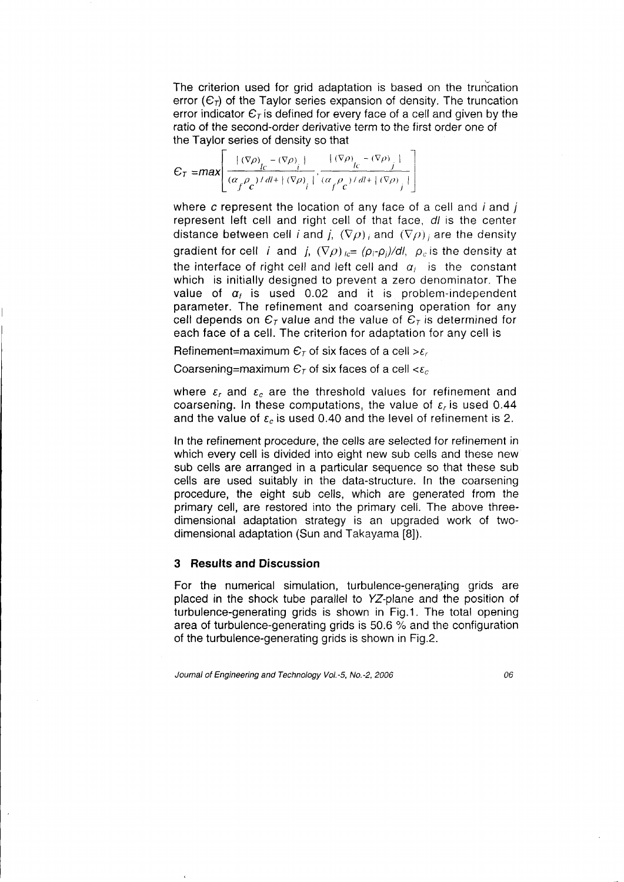The criterion used for grid adaptation is based on the truncation error  $(E<sub>τ</sub>)$  of the Taylor series expansion of density. The truncation error indicator  $\epsilon_{\tau}$  is defined for every face of a cell and given by the ratio of the second-order derivative term to the first order one of the Taylor series of density so that

$$
\epsilon_{\tau} = \max \left[ \frac{|\left(\nabla \rho\right)_{lc} - \left(\nabla \rho\right)|}{\left(\alpha_f \rho_c\right) / d l + \left(\nabla \rho\right)|}, \frac{|\left(\nabla \rho\right)_{lc} - \left(\nabla \rho\right)|}{\left(\alpha_f \rho_c\right) / d l + \left(\nabla \rho\right)|}\right]
$$

where  $c$  represent the location of any face of a cell and  $i$  and  $j$ represent left cell and right cell of that face, dl is the center distance between cell *i* and *j*,  $(\nabla \rho)_i$  and  $(\nabla \rho)_i$  are the density gradient for cell *i* and *j*,  $(\nabla \rho)_{i \in \mathbb{R}} (\rho_i - \rho_i)/d$ ,  $\rho_c$  is the density at the interface of right cell and left cell and  $\alpha_i$  is the constant which is initially designed to prevent a zero denominator. The value of  $\alpha_i$  is used 0.02 and it is problem-independent parameter. The refinement and coarsening operation for any cell depends on  $\epsilon_r$  value and the value of  $\epsilon_r$  is determined for each face of a cell. The criterion for adaptation for any cell is

Refinement=maximum  $\epsilon_r$  of six faces of a cell > $\epsilon_r$ 

Coarsening=maximum  $\epsilon_r$  of six faces of a cell  $\epsilon_c$ 

where  $\varepsilon_r$  and  $\varepsilon_c$  are the threshold values for refinement and coarsening. In these computations, the value of  $\varepsilon_r$  is used 0.44 and the value of  $\varepsilon_c$  is used 0.40 and the level of refinement is 2.

ln the refinement procedure, the cells are selected for refinement in which every cell is divided into eight new sub cells and these new sub cells are arranged in a particular sequence so that these sub cells are used suitably in the data-structure. ln the coarsening procedure, the eight sub cells, which are generated from the primary cell, are restored into the primary cell. The above threedimensional adaptation strategy is an upgraded work of twodimensional adaptation (Sun and Takayama [B]).

### 3 Results and Discussion

For the numerical simulation, turbulence-generating grids are placed in the shock tube parallel to YZ-plane and the position of turbulence-generating grids is shown in Fig.1. The total opening area of turbulence-generating grids is 50.6 % and the configuration of the turbulence-generating grids is shown in Fig.2.

Journal of Engineering and Technology Vol.-5, No.-2, 2006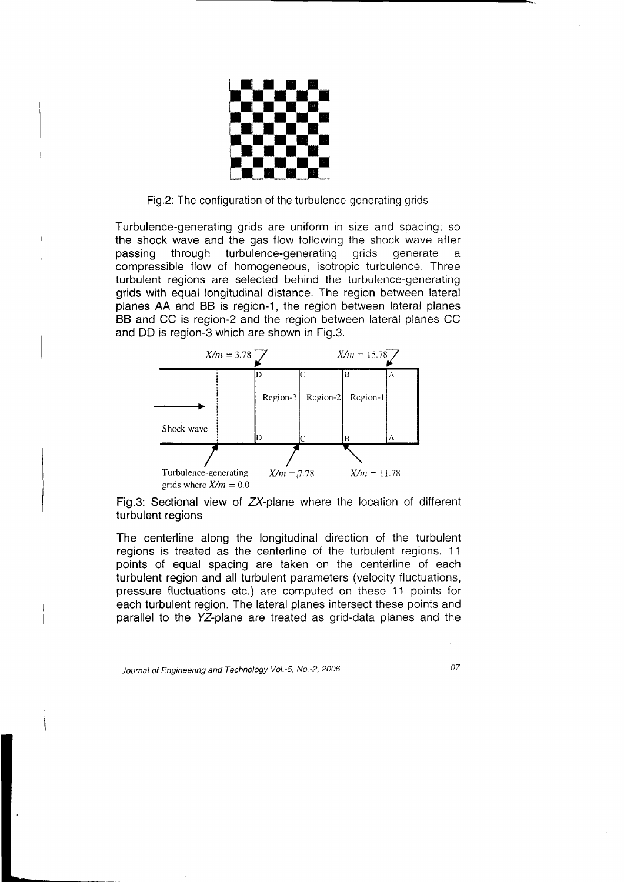

# Fig.2: The configuration of the turbulence-generating grids

Turbulence-generating grids are uniform in size and spacing, so the shock wave and the gas flow following the shock wave after passing through turbulence-generating grids generate a compressible flow of homogeneous, isotropic turbulence Three turbulent regions are selected behind the turbulence-generating grids with equal longitudinal distance. The region between lateral planes AA and BB is region-1, the region between lateral planes BB and CC is region-2 and the region between lateral planes CC and DD is region-3 which are shown in Fig.3.



Fig.3: Sectional view of ZX-plane where the location of different turbulent regions

The centerline along the longitudinal direction of the turbulent regions is treated as the centerline of the turbulent regions. 11 points of equal spacing are taken on the centerline of each turbulent region and all turbulent parameters (velocity fluctuations, pressure fluctuations etc.) are computed on these 11 points for each turbulent region. The lateral planes intersect these points and parallel to the YZ-plane are treated as grid-data planes and the

Journal of Engineering and Technology Vol.-5, No.-2, 2006

 $O<sub>7</sub>$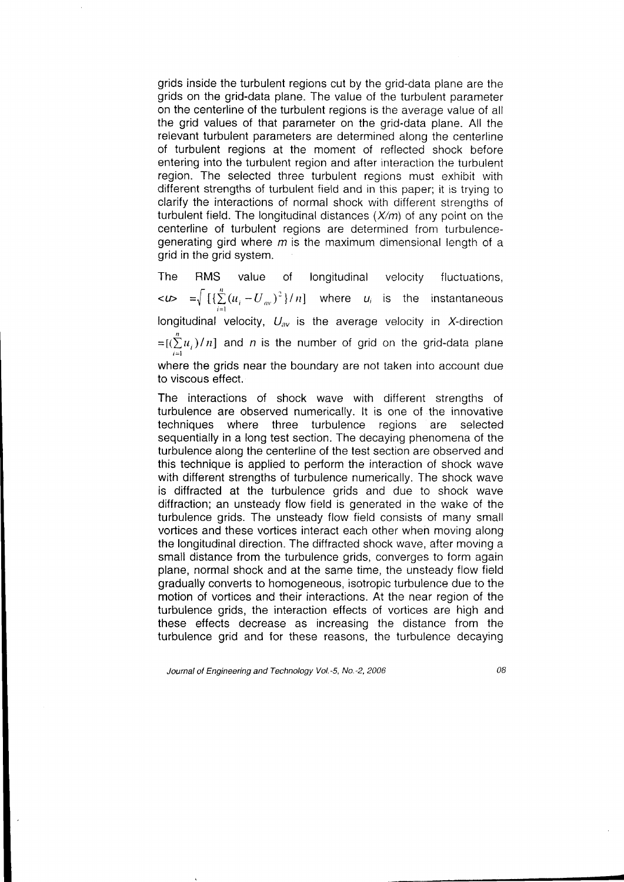grids inside the turbulent regions cut by the grid-data plane are the grids on the grid-data plane. The value of the turbulent parameter on the centerline of the turbulent regions is the average value of all the grid values of that parameter on the grid-data plane. All the relevant turbulent parameters are determined along the centerline of turbulent regions at the moment of reflected shock before entering into the turbulent region and after interaction the turbulent region. The selected three turbulent regions must exhibit with different strengths of turbulent field and in this paper; it is trying to clarify the interactions of normal shock with different sirengths of turbulent field. The longitudinal distances  $(X/m)$  of any point on the centerline of turbulent regions are determined from turbulencegenerating gird where  $m$  is the maximum dimensional length of a grid in the grid system.

The RMS value of longitudinal velocity fluctuations,  $\langle U \rangle$  =  $\sqrt{\left[\sum_{i=1}^{n} (u_i - U_{av})^2\right]/n}$  where  $u_i$  is the instantaneous longitudinal velocity,  $U_{av}$  is the average velocity in X-direction  $=[(\sum_{i=1}^{n}u_{i})/n]$  and n is the number of grid on the grid-data plane where the grids near the boundary are not taken into account due to viscous effect.

The interactions of shock wave with different strengths of turbulence are observed numerically. lt is one of the innovative techniques where three turbulence regions are selected sequentially in a long test section. The decaying phenomena of the turbulence along the centerline of the test section are observed and this technique is applied to perform the interaction of shock wave with different strengths of turbulence numerically. The shock wave is diffracted at the turbulence grids and due to shock wave diffraction; an unsteady flow field is generated in the wake of the turbulence grids. The unsteady flow field consists of many small vortices and these vortices interact each other when moving along the longitudinal direction. The diffracted shock wave, after moving a small distance from the turbulence grids, converges to form again plane, normal shock and at the same time, the unsteady flow field gradually converts to homogeneous, isotropic turbulence due to the motion of vortices and their interactions. At the near region of the turbulence grids, the interaction effects of vortices are high and these effects decrease as increasing the distance from the turbulence grid and for these reasons, the turbulence decaying

Journal of Engineering and Technology Vol.-5, No.-2, 2006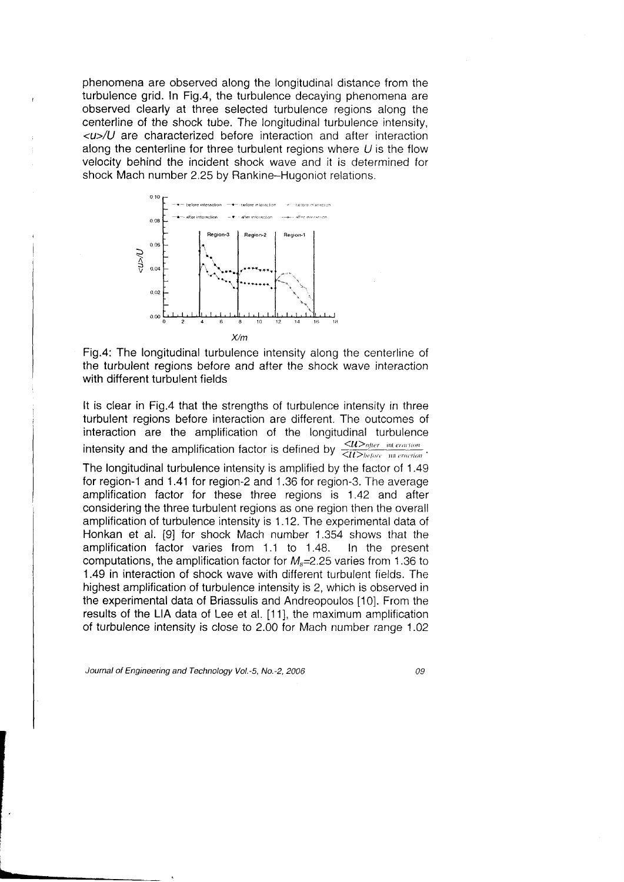phenomena are observed along the longitudinal distance from the turbulence grid. In Fig.4, the turbulence decaying phenomena are observed clearly at three selected turbulence regions along the centerline of the shock tube. The longitudinal turbulence intensity, <u>/U are characterized before interaction and after interaction along the centerline for three turbulent regions where  $U$  is the flow velocity behind the incident shock wave and it is determined for shock Mach number 2.25 by Rankine-Hugoniot relations.



Fig.4: The longitudinal turbulence intensity along the centerline of the turbulent regions before and after the shock wave interaction with different turbulent fields

It is clear in Fig.4 that the strengths of turbulence intensity in three turbulent regions before interaction are different. The outcomes of interaction are the amplification of the longitudinal turbulence intensity and the amplification factor is defined by  $\frac{<\mathcal{U}>_{after}}<\mathcal{U}>_{before}$  interaction

The longitudinal turbulence intensity is amplified by the facior ot 1.49 for region-1 and 1.41 for region-2 and 1.36 for region-3. The average amplification factor for these three regions is 1.42 and after considering the three turbulent regions as one region then the overall amplification of turbulence intensity is 1 .12. The experimental data of Honkan et al. [9] for shock Mach number 1.354 shows that the amplification factor varies from  $1.1$  to  $1.48$ . computations, the amplification factor for  $M_s = 2.25$  varies from 1.36 to 1.49 in interaction of shock wave with different turbulent fields. The highest amplification of turbulence intensity is 2, which is observed in the experimental data of Briassulis and Andreopoulos [10]. From the results of the LIA data of Lee et al. [11], the maximum amplification of turbulence intensity is close to 2.00 for Mach number range 1.02

Journal of Engineering and Technology Vol.-5, No.-2, 2006 **Canadian Constructs** 09

i E-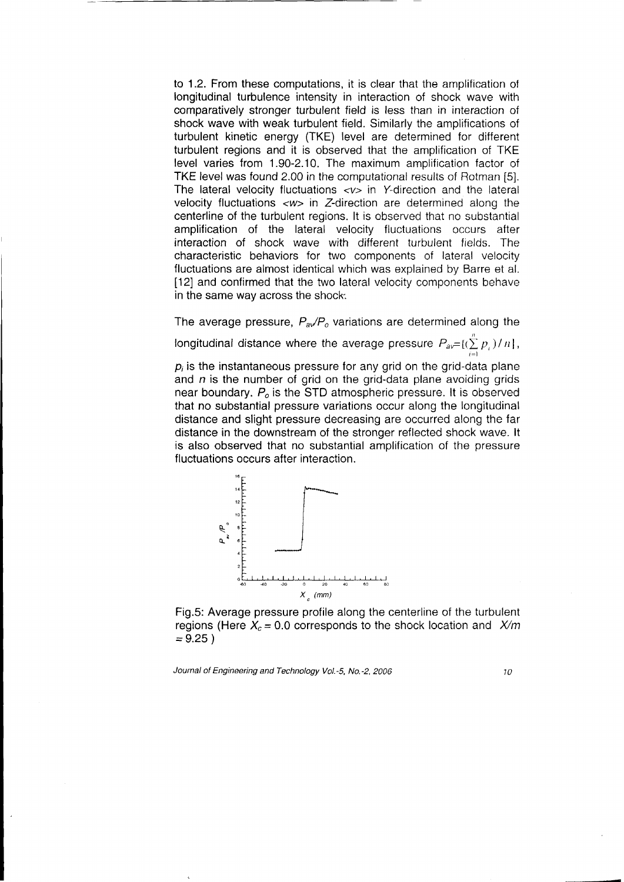to 1.2. From these computations, it is clear that the amplification of longitudinal turbulence intensity in interaction of shock wave with comparatively stronger turbulent field is less than in interaction of shock wave with weak turbulent field. Similarly the amplifications of turbulent kinetic energy (TKE) level are determined for different turbulent regions and it is observed that the amplification of TKE level varies from 1.90-2.10. The maximum amplification factor of TKE level was found 2.00 in the computational results of Rotman [5]. The lateral velocity fluctuations  $< v$  in Y-direction and the lateral velocity fluctuations  $\langle w \rangle$  in Z-direction are determined along the centerline of the turbulent regions. lt is observed that no substantial amplification of the lateral velocity fluctuations occurs after interaction of shock wave with different turbulent fields. The characteristic behaviors for two components of lateral velocity fluctuations are almost identical which was explained by Barre et al. [12] and confirmed that the two lateral velocity components behave in the same way across the shock.

The average pressure,  $P_{av}/P_o$  variations are determined along the

longitudinal distance where the average pressure  $P_{\mathsf{av}}\mathsf{E}[(\sum\limits_{i=1}^r p_i)/\sqrt{n}]$ 

 $p_i$  is the instantaneous pressure for any grid on the grid-data plane and  $n$  is the number of grid on the grid-data plane avoiding grids near boundary.  $P<sub>o</sub>$  is the STD atmospheric pressure. It is observed that no substantial pressure variations occur along the longitudinal distance and slight pressure decreasing are occurred along the far distance in the downstream of the stronger reflected shock wave. lt is also observed that no substantial amplification of the pressure fluctuations occurs after interaction.



Fig.S: Average pressure profile along the centerline of the turbulent regions (Here  $X_c = 0.0$  corresponds to the shock location and  $X/m$  $= 9.25$ )

Journal of Engineering and Technology Vol.-5, No.-2, 2006 10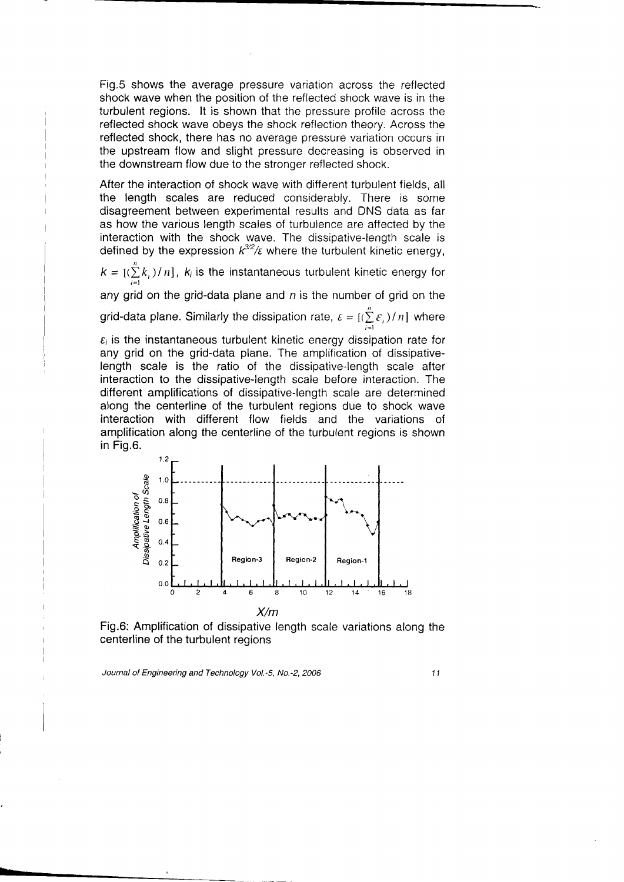Fig.5 shows the average pressure variation across the reflected shock wave when the position of the reflected shock wave is in the turbulent regions. lt is shown that the pressure profile across the reflected shock wave obeys the shock reflection theory. Across the reflected shock, there has no average pressure variation occurs in the upstream flow and slight pressure decreasing is observed in the downstream flow due to the stronger reflected shock.

After the interaction of shock wave with different turbulent fields, all the length scales are reduced considerably. There is some disagreement between experimental results and DNS data as far as how the various length scales of turbulence are affected by the interaction with the shock wave. The dissipative-length scale is defined by the expression  $k^{3/2}/\varepsilon$  where the turbulent kinetic energy,

 $k = [(\sum_{i=1}^{n} k_{i})/n]$ ,  $k_{i}$  is the instantaneous turbulent kinetic energy for any grid on the grid-data plane and  $n$  is the number of grid on the grid-data plane. Similarly the dissipation rate,  $\varepsilon = \left[\left(\sum_{i=1}^{n} \varepsilon_i\right)/n\right]$  where

! -

 $\varepsilon_i$  is the instantaneous turbulent kinetic energy dissipation rate for any grid on the grid-data plane. The amplification of dissipativelength scale is the ratio of the dissipative-length scale after interaction to the dissipative-length scale before interaction. The different amplifications of dissipative-length scale are determined along the centerline of the turbulent regions due to shock wave interaction with different flow fields and the variations of amplification along the centerline of the turbulent regions is shown in Fig.6.





Journal of Engineering and Technology Vol.-5, No.-2, 2006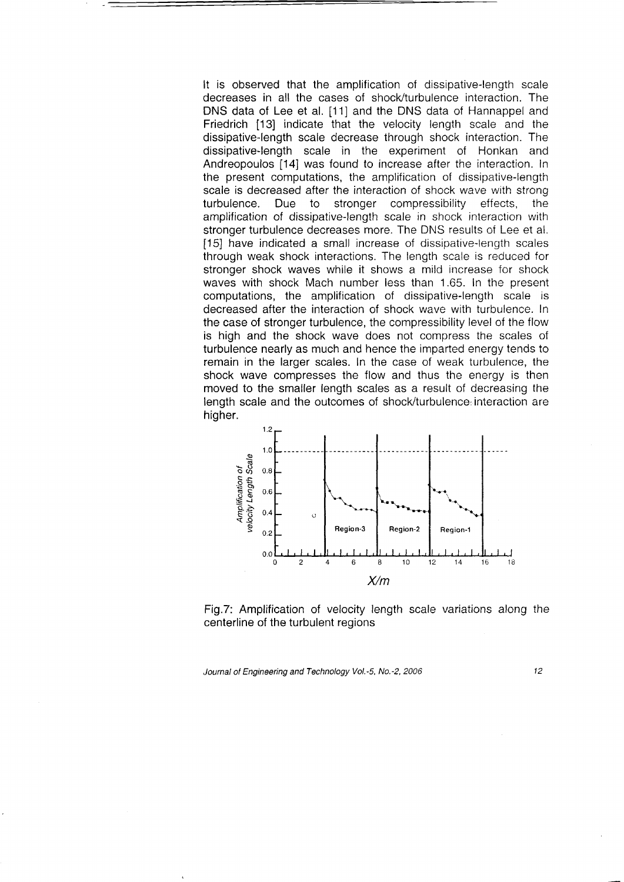It is observed that the amplification of dissipative-length scale decreases in all the cases of shock/turbulence interaction. The DNS data of Lee et al. [11] and the DNS data of Hannappel and Friedrich [13] indicate that the velocity length scale and the dissipative-length scale decrease through shock interaction. The dissipative-length scale in the experiment of Honkan and Andreopoulos [14] was found to increase after the interaction. In the present computations, the amplification of dissipative-length scale is decreased after the interaction of shock wave with strong turbulence. Due to stronger compressibility effects, amplification of dissipative-length scale in shock interaction with stronger turbulence decreases more. The DNS results cf Lee et al. [15] have indicated a small increase of dissipative-length scales through weak shock interactions. The length scale is reduced for stronger shock waves while it shows a mild increase for shock waves with shock Mach number less than 1.65. In the present computations, the amplification of dissipative-length scale is decreased after the interaction of shock wave with turbulence. In the case of stronger turbulence, the compressibility level of the flow is high and the shock wave does not compress the scales of turbulence nearly as much and hence the imparted energy tends to remain in the larger scales. In the case of weak turbulence, the shock wave compresses the flow and thus the energy is then moved to the smaller length scales as a result of decreasing the length scale and the outcomes of shock/turbulence, interaction are higher.





Journal of Engineering and Technology Vol.-S, No.-2, 2006

 $12<sub>2</sub>$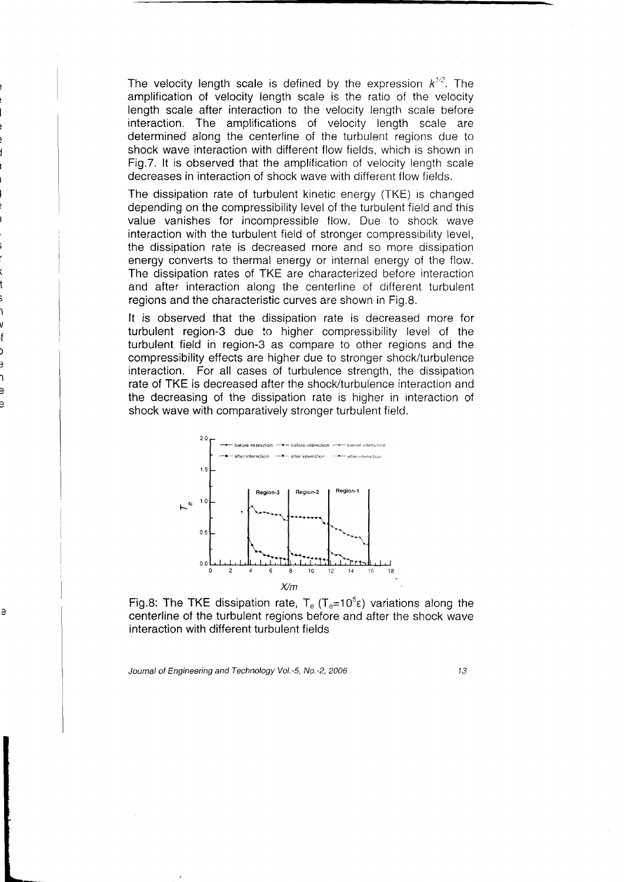The velocity length scale is defined by the expression  $k^{1/2}$ . The amplification of velocity length scale is the ratio of the velocity length scale after interaction to the velocity length scale before interaction. The amplifications of velocity length scale are determined along the centerline of the turbulent regions due to shock wave interaction with different flow fields, which is shown in Fig.7.lt is observed that the amplification of velocity length scale decreases in interaction of shock wave with different flow fields.

The dissipation rate of turbulent kinetic energy (TKE) is changed depending on the compressibility level of the turbulent field and this value vanishes for incompressible flow. Due to shock wave interaction with the turbulent field of stronger compressibility level, the dissipation rate is decreased more and so more dissipation energy converts to thermal energy or internal energy of the flow. The dissipation rates of TKE are characterized be{ore interaction and after interaction along the centerline of different turbulent regions and the characteristic curves are shown in Fig.8.

( t

I  $\mathbf v$ t ) ) 1 Э a

e

It is observed that the dissipation rate is decreased more for turbulent region-3 due to higher compressibility level of the turbulent field in region-3 as compare to other regions and the compressibility effects are higher due to stronger shock/turbulence interaction. For all cases of turbulence strength, the dissipation rate of TKE is decreased after the shock/turbulence interaction and the decreasing of the dissipation rate is higher in interaction of shock wave with comparatively stronger turbulent field.



Fig.8: The TKE dissipation rate,  $T_e$  ( $T_e=10^5 \epsilon$ ) variations along the centerline of the turbulent regions before and after the shock wave interaction with different turbulent fields

Journal ot Engineering and Technology Vol.-5, No.-2, 2006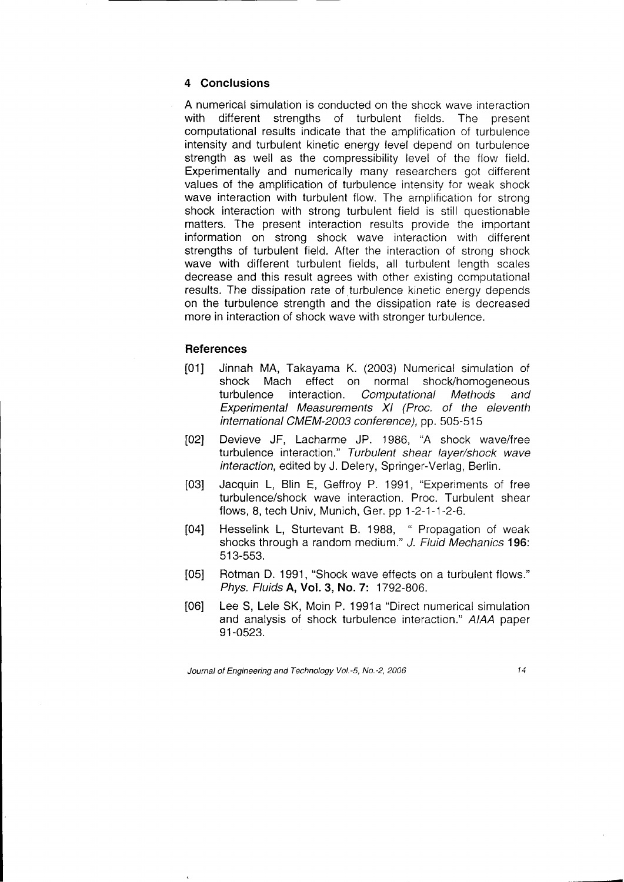## 4 Conclusions

A numerical simulation is conducted on the shock wave interaction with different strengths of turbulent fields. The present computational results indicate that the amplification of turbulence intensity and turbulent kinetic energy level depend on turbulence strength as well as the compressibility level of the flow field. Experimentally and numerically many researchers got different values of the amplification of turbulence intensity for weak shock wave interaction with turbulent flow. The amplification for strong shock interaction with strong turbulent field is still questionable matters. The present interaction results provide the important information on strong shock wave interaction with different strengths of turbulent field. After the interaction of strong shock wave with different turbulent fields, all turbulent length scales decrease and this result agrees with other existing computational results. The dissipation rate of turbulence kinetic energy depends on the turbulence strength and the dissipation rate is decreased more in interaction of shock wave with stronoer turbulence.

## **References**

- [01] Jinnah MA, Takayama K. (2003) Numerical simulation of shock Mach effect on normal shock/homogeneous turbulence interaction. Computational Methods and Experimental Measurements Xl (Proc. of the eleventh international CMEM-2003 conference), pp. 505-515
- [02] Devieve JF, Lacharme JP. 1986, "A shock wave/free turbulence interaction." Turbulent shear layer/shock wave interaction, edited by J. Delery, Springer-Verlag, Berlin.
- [03] Jacquin L, Blin E, Geffroy P. 1991, "Experiments of free turbulence/shock wave interaction. Proc. Turbulent shear flows, 8, tech Univ, Munich, Ger. pp  $1-2-1-1-2-6$ .
- [04] Hesselink L, Sturtevant B. 1988, " Propagation of weak shocks through a random medium." J. Fluid Mechanics 196: 513-553.
- [05] Rotman D. 1991, "Shock wave effects on a turbulent flows." Phys. Fluids A, Vol.3, No.7: 1792-806.
- [06] Lee S, Lele SK, Moin P. 1991a "Direct numerical simulation and analysis of shock turbulence interaction." AIAA paper 91-0523.

Journal of Engineering and Technology Vol.-5, No.-2, 2006